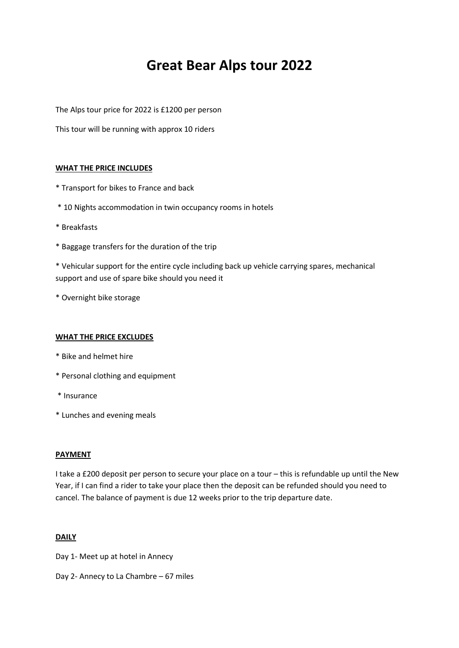# **Great Bear Alps tour 2022**

The Alps tour price for 2022 is £1200 per person

This tour will be running with approx 10 riders

#### **WHAT THE PRICE INCLUDES**

- \* Transport for bikes to France and back
- \* 10 Nights accommodation in twin occupancy rooms in hotels
- \* Breakfasts
- \* Baggage transfers for the duration of the trip

\* Vehicular support for the entire cycle including back up vehicle carrying spares, mechanical support and use of spare bike should you need it

\* Overnight bike storage

#### **WHAT THE PRICE EXCLUDES**

- \* Bike and helmet hire
- \* Personal clothing and equipment
- \* Insurance
- \* Lunches and evening meals

#### **PAYMENT**

I take a £200 deposit per person to secure your place on a tour – this is refundable up until the New Year, if I can find a rider to take your place then the deposit can be refunded should you need to cancel. The balance of payment is due 12 weeks prior to the trip departure date.

#### **DAILY**

- Day 1- Meet up at hotel in Annecy
- Day 2- Annecy to La Chambre 67 miles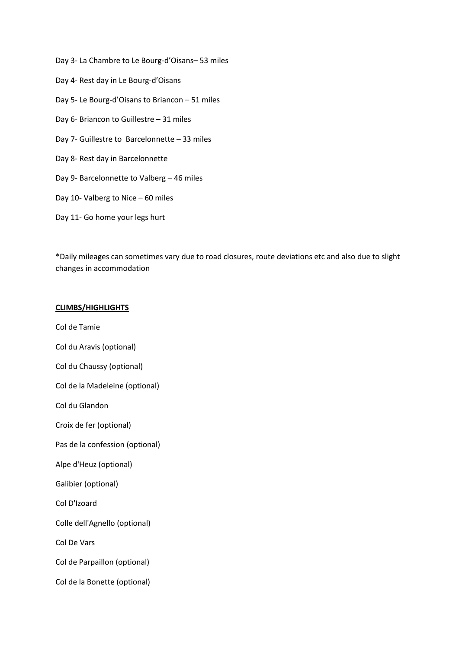Day 3- La Chambre to Le Bourg-d'Oisans– 53 miles Day 4- Rest day in Le Bourg-d'Oisans Day 5- Le Bourg-d'Oisans to Briancon – 51 miles Day 6- Briancon to Guillestre – 31 miles Day 7- Guillestre to Barcelonnette – 33 miles Day 8- Rest day in Barcelonnette Day 9- Barcelonnette to Valberg – 46 miles Day 10- Valberg to Nice – 60 miles Day 11- Go home your legs hurt

\*Daily mileages can sometimes vary due to road closures, route deviations etc and also due to slight changes in accommodation

# **CLIMBS/HIGHLIGHTS**

Col de Tamie Col du Aravis (optional) Col du Chaussy (optional) Col de la Madeleine (optional) Col du Glandon Croix de fer (optional) Pas de la confession (optional) Alpe d'Heuz (optional) Galibier (optional) Col D'Izoard Colle dell'Agnello (optional) Col De Vars Col de Parpaillon (optional) Col de la Bonette (optional)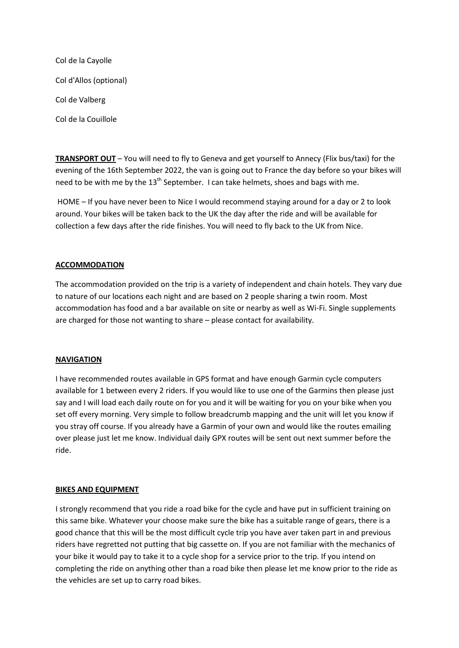| Col de la Cayolle      |
|------------------------|
| Col d'Allos (optional) |
| Col de Valberg         |
| Col de la Couillole    |

**TRANSPORT OUT** – You will need to fly to Geneva and get yourself to Annecy (Flix bus/taxi) for the evening of the 16th September 2022, the van is going out to France the day before so your bikes will need to be with me by the  $13<sup>th</sup>$  September. I can take helmets, shoes and bags with me.

HOME – If you have never been to Nice I would recommend staying around for a day or 2 to look around. Your bikes will be taken back to the UK the day after the ride and will be available for collection a few days after the ride finishes. You will need to fly back to the UK from Nice.

# **ACCOMMODATION**

The accommodation provided on the trip is a variety of independent and chain hotels. They vary due to nature of our locations each night and are based on 2 people sharing a twin room. Most accommodation has food and a bar available on site or nearby as well as Wi-Fi. Single supplements are charged for those not wanting to share – please contact for availability.

#### **NAVIGATION**

I have recommended routes available in GPS format and have enough Garmin cycle computers available for 1 between every 2 riders. If you would like to use one of the Garmins then please just say and I will load each daily route on for you and it will be waiting for you on your bike when you set off every morning. Very simple to follow breadcrumb mapping and the unit will let you know if you stray off course. If you already have a Garmin of your own and would like the routes emailing over please just let me know. Individual daily GPX routes will be sent out next summer before the ride.

#### **BIKES AND EQUIPMENT**

I strongly recommend that you ride a road bike for the cycle and have put in sufficient training on this same bike. Whatever your choose make sure the bike has a suitable range of gears, there is a good chance that this will be the most difficult cycle trip you have aver taken part in and previous riders have regretted not putting that big cassette on. If you are not familiar with the mechanics of your bike it would pay to take it to a cycle shop for a service prior to the trip. If you intend on completing the ride on anything other than a road bike then please let me know prior to the ride as the vehicles are set up to carry road bikes.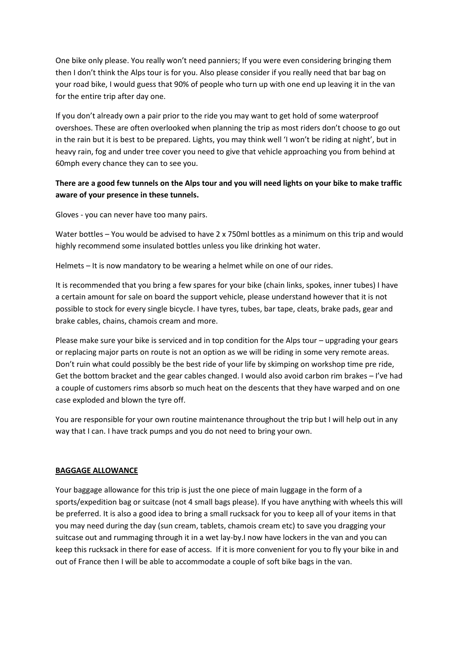One bike only please. You really won't need panniers; If you were even considering bringing them then I don't think the Alps tour is for you. Also please consider if you really need that bar bag on your road bike, I would guess that 90% of people who turn up with one end up leaving it in the van for the entire trip after day one.

If you don't already own a pair prior to the ride you may want to get hold of some waterproof overshoes. These are often overlooked when planning the trip as most riders don't choose to go out in the rain but it is best to be prepared. Lights, you may think well 'I won't be riding at night', but in heavy rain, fog and under tree cover you need to give that vehicle approaching you from behind at 60mph every chance they can to see you.

# **There are a good few tunnels on the Alps tour and you will need lights on your bike to make traffic aware of your presence in these tunnels.**

Gloves - you can never have too many pairs.

Water bottles – You would be advised to have 2 x 750ml bottles as a minimum on this trip and would highly recommend some insulated bottles unless you like drinking hot water.

Helmets – It is now mandatory to be wearing a helmet while on one of our rides.

It is recommended that you bring a few spares for your bike (chain links, spokes, inner tubes) I have a certain amount for sale on board the support vehicle, please understand however that it is not possible to stock for every single bicycle. I have tyres, tubes, bar tape, cleats, brake pads, gear and brake cables, chains, chamois cream and more.

Please make sure your bike is serviced and in top condition for the Alps tour – upgrading your gears or replacing major parts on route is not an option as we will be riding in some very remote areas. Don't ruin what could possibly be the best ride of your life by skimping on workshop time pre ride, Get the bottom bracket and the gear cables changed. I would also avoid carbon rim brakes – I've had a couple of customers rims absorb so much heat on the descents that they have warped and on one case exploded and blown the tyre off.

You are responsible for your own routine maintenance throughout the trip but I will help out in any way that I can. I have track pumps and you do not need to bring your own.

# **BAGGAGE ALLOWANCE**

Your baggage allowance for this trip is just the one piece of main luggage in the form of a sports/expedition bag or suitcase (not 4 small bags please). If you have anything with wheels this will be preferred. It is also a good idea to bring a small rucksack for you to keep all of your items in that you may need during the day (sun cream, tablets, chamois cream etc) to save you dragging your suitcase out and rummaging through it in a wet lay-by.I now have lockers in the van and you can keep this rucksack in there for ease of access. If it is more convenient for you to fly your bike in and out of France then I will be able to accommodate a couple of soft bike bags in the van.